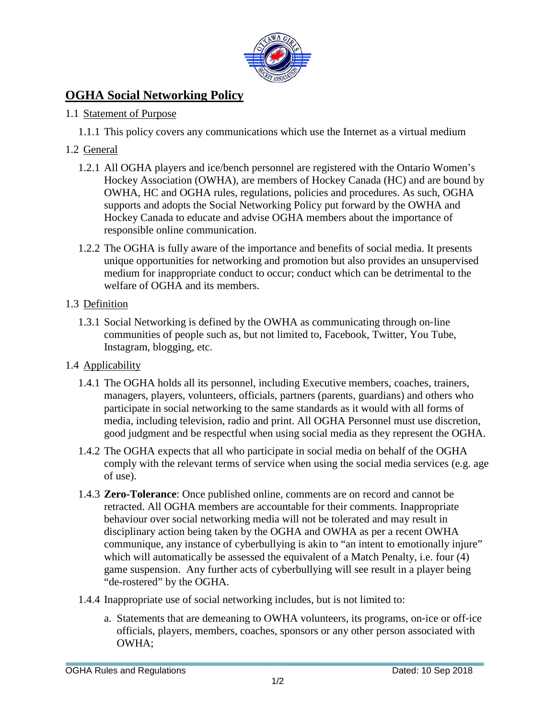

# **OGHA Social Networking Policy**

#### 1.1 Statement of Purpose

1.1.1 This policy covers any communications which use the Internet as a virtual medium

## 1.2 General

- 1.2.1 All OGHA players and ice/bench personnel are registered with the Ontario Women's Hockey Association (OWHA), are members of Hockey Canada (HC) and are bound by OWHA, HC and OGHA rules, regulations, policies and procedures. As such, OGHA supports and adopts the Social Networking Policy put forward by the OWHA and Hockey Canada to educate and advise OGHA members about the importance of responsible online communication.
- 1.2.2 The OGHA is fully aware of the importance and benefits of social media. It presents unique opportunities for networking and promotion but also provides an unsupervised medium for inappropriate conduct to occur; conduct which can be detrimental to the welfare of OGHA and its members.

### 1.3 Definition

- 1.3.1 Social Networking is defined by the OWHA as communicating through on‐line communities of people such as, but not limited to, Facebook, Twitter, You Tube, Instagram, blogging, etc.
- 1.4 Applicability
	- 1.4.1 The OGHA holds all its personnel, including Executive members, coaches, trainers, managers, players, volunteers, officials, partners (parents, guardians) and others who participate in social networking to the same standards as it would with all forms of media, including television, radio and print. All OGHA Personnel must use discretion, good judgment and be respectful when using social media as they represent the OGHA.
	- 1.4.2 The OGHA expects that all who participate in social media on behalf of the OGHA comply with the relevant terms of service when using the social media services (e.g. age of use).
	- 1.4.3 **Zero-Tolerance**: Once published online, comments are on record and cannot be retracted. All OGHA members are accountable for their comments. Inappropriate behaviour over social networking media will not be tolerated and may result in disciplinary action being taken by the OGHA and OWHA as per a recent OWHA communique, any instance of cyberbullying is akin to "an intent to emotionally injure" which will automatically be assessed the equivalent of a Match Penalty, i.e. four (4) game suspension. Any further acts of cyberbullying will see result in a player being "de-rostered" by the OGHA.
	- 1.4.4 Inappropriate use of social networking includes, but is not limited to:
		- a. Statements that are demeaning to OWHA volunteers, its programs, on‐ice or off‐ice officials, players, members, coaches, sponsors or any other person associated with OWHA;